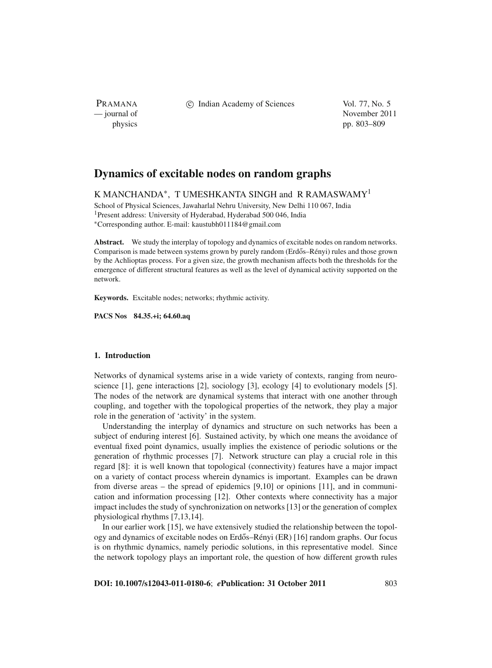PRAMANA

c Indian Academy of Sciences Vol. 77, No. 5

— journal of November 2011 physics pp. 803–809

# **Dynamics of excitable nodes on random graphs**

K MANCHANDA<sup>\*</sup>, T UMESHKANTA SINGH and R RAMASWAMY<sup>1</sup>

School of Physical Sciences, Jawaharlal Nehru University, New Delhi 110 067, India 1Present address: University of Hyderabad, Hyderabad 500 046, India <sup>∗</sup>Corresponding author. E-mail: kaustubh011184@gmail.com

**Abstract.** We study the interplay of topology and dynamics of excitable nodes on random networks. Comparison is made between systems grown by purely random (Erdős–Rényi) rules and those grown by the Achlioptas process. For a given size, the growth mechanism affects both the thresholds for the emergence of different structural features as well as the level of dynamical activity supported on the network.

**Keywords.** Excitable nodes; networks; rhythmic activity.

**PACS Nos 84.35.+i; 64.60.aq**

## **1. Introduction**

Networks of dynamical systems arise in a wide variety of contexts, ranging from neuroscience [1], gene interactions [2], sociology [3], ecology [4] to evolutionary models [5]. The nodes of the network are dynamical systems that interact with one another through coupling, and together with the topological properties of the network, they play a major role in the generation of 'activity' in the system.

Understanding the interplay of dynamics and structure on such networks has been a subject of enduring interest [6]. Sustained activity, by which one means the avoidance of eventual fixed point dynamics, usually implies the existence of periodic solutions or the generation of rhythmic processes [7]. Network structure can play a crucial role in this regard [8]: it is well known that topological (connectivity) features have a major impact on a variety of contact process wherein dynamics is important. Examples can be drawn from diverse areas – the spread of epidemics [9,10] or opinions [11], and in communication and information processing [12]. Other contexts where connectivity has a major impact includes the study of synchronization on networks [13] or the generation of complex physiological rhythms [7,13,14].

In our earlier work [15], we have extensively studied the relationship between the topology and dynamics of excitable nodes on Erdős–Rényi (ER) [16] random graphs. Our focus is on rhythmic dynamics, namely periodic solutions, in this representative model. Since the network topology plays an important role, the question of how different growth rules

**DOI: 10.1007/s12043-011-0180-6**; *e***Publication: 31 October 2011** 803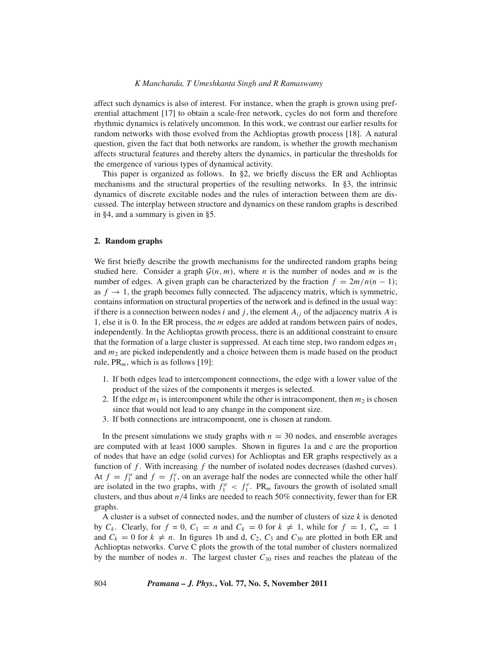### *K Manchanda, T Umeshkanta Singh and R Ramaswamy*

affect such dynamics is also of interest. For instance, when the graph is grown using preferential attachment [17] to obtain a scale-free network, cycles do not form and therefore rhythmic dynamics is relatively uncommon. In this work, we contrast our earlier results for random networks with those evolved from the Achlioptas growth process [18]. A natural question, given the fact that both networks are random, is whether the growth mechanism affects structural features and thereby alters the dynamics, in particular the thresholds for the emergence of various types of dynamical activity.

This paper is organized as follows. In §2, we briefly discuss the ER and Achlioptas mechanisms and the structural properties of the resulting networks. In §3, the intrinsic dynamics of discrete excitable nodes and the rules of interaction between them are discussed. The interplay between structure and dynamics on these random graphs is described in §4, and a summary is given in §5.

## **2. Random graphs**

We first briefly describe the growth mechanisms for the undirected random graphs being studied here. Consider a graph  $\mathcal{G}(n, m)$ , where *n* is the number of nodes and *m* is the number of edges. A given graph can be characterized by the fraction  $f = 2m/n(n-1)$ ; as  $f \to 1$ , the graph becomes fully connected. The adjacency matrix, which is symmetric, contains information on structural properties of the network and is defined in the usual way: if there is a connection between nodes *i* and *j*, the element  $A_{ij}$  of the adjacency matrix *A* is 1, else it is 0. In the ER process, the *m* edges are added at random between pairs of nodes, independently. In the Achlioptas growth process, there is an additional constraint to ensure that the formation of a large cluster is suppressed. At each time step, two random edges  $m_1$ and  $m_2$  are picked independently and a choice between them is made based on the product rule, PR*m*, which is as follows [19]:

- 1. If both edges lead to intercomponent connections, the edge with a lower value of the product of the sizes of the components it merges is selected.
- 2. If the edge  $m_1$  is intercomponent while the other is intracomponent, then  $m_2$  is chosen since that would not lead to any change in the component size.
- 3. If both connections are intracomponent, one is chosen at random.

In the present simulations we study graphs with  $n = 30$  nodes, and ensemble averages are computed with at least 1000 samples. Shown in figures 1a and c are the proportion of nodes that have an edge (solid curves) for Achlioptas and ER graphs respectively as a function of *f* . With increasing *f* the number of isolated nodes decreases (dashed curves). At  $f = f_1^a$  and  $f = f_1^e$ , on an average half the nodes are connected while the other half are isolated in the two graphs, with  $f_1^a < f_1^e$ . PR<sub>m</sub> favours the growth of isolated small clusters, and thus about  $n/4$  links are needed to reach 50% connectivity, fewer than for ER graphs.

A cluster is a subset of connected nodes, and the number of clusters of size *k* is denoted by  $C_k$ . Clearly, for  $f = 0$ ,  $C_1 = n$  and  $C_k = 0$  for  $k \neq 1$ , while for  $f = 1$ ,  $C_n = 1$ and  $C_k = 0$  for  $k \neq n$ . In figures 1b and d,  $C_2$ ,  $C_3$  and  $C_{30}$  are plotted in both ER and Achlioptas networks. Curve C plots the growth of the total number of clusters normalized by the number of nodes *n*. The largest cluster  $C_{30}$  rises and reaches the plateau of the

804 *Pramana – J. Phys.***, Vol. 77, No. 5, November 2011**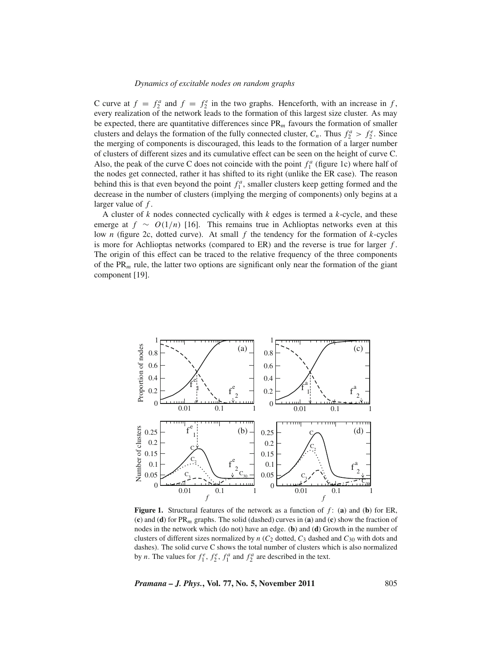#### *Dynamics of excitable nodes on random graphs*

C curve at  $f = f_2^a$  and  $f = f_2^e$  in the two graphs. Henceforth, with an increase in *f*, every realization of the network leads to the formation of this largest size cluster. As may be expected, there are quantitative differences since PR*<sup>m</sup>* favours the formation of smaller clusters and delays the formation of the fully connected cluster,  $C_n$ . Thus  $f_2^a > f_2^e$ . Since the merging of components is discouraged, this leads to the formation of a larger number of clusters of different sizes and its cumulative effect can be seen on the height of curve C. Also, the peak of the curve C does not coincide with the point  $f_1^a$  (figure 1c) where half of the nodes get connected, rather it has shifted to its right (unlike the ER case). The reason behind this is that even beyond the point  $f_1^a$ , smaller clusters keep getting formed and the decrease in the number of clusters (implying the merging of components) only begins at a larger value of *f* .

A cluster of *k* nodes connected cyclically with *k* edges is termed a *k*-cycle, and these emerge at  $f \sim O(1/n)$  [16]. This remains true in Achlioptas networks even at this low *n* (figure 2c, dotted curve). At small *f* the tendency for the formation of *k*-cycles is more for Achlioptas networks (compared to ER) and the reverse is true for larger *f* . The origin of this effect can be traced to the relative frequency of the three components of the  $PR_m$  rule, the latter two options are significant only near the formation of the giant component [19].



**Figure 1.** Structural features of the network as a function of *f* : (**a**) and (**b**) for ER, (**c**) and (**d**) for PR*m* graphs. The solid (dashed) curves in (**a**) and (**c**) show the fraction of nodes in the network which (do not) have an edge. (**b**) and (**d**) Growth in the number of clusters of different sizes normalized by  $n$  ( $C_2$  dotted,  $C_3$  dashed and  $C_{30}$  with dots and dashes). The solid curve C shows the total number of clusters which is also normalized by *n*. The values for  $f_1^e$ ,  $f_2^e$ ,  $f_1^a$  and  $f_2^a$  are described in the text.

*Pramana – J. Phys.***, Vol. 77, No. 5, November 2011** 805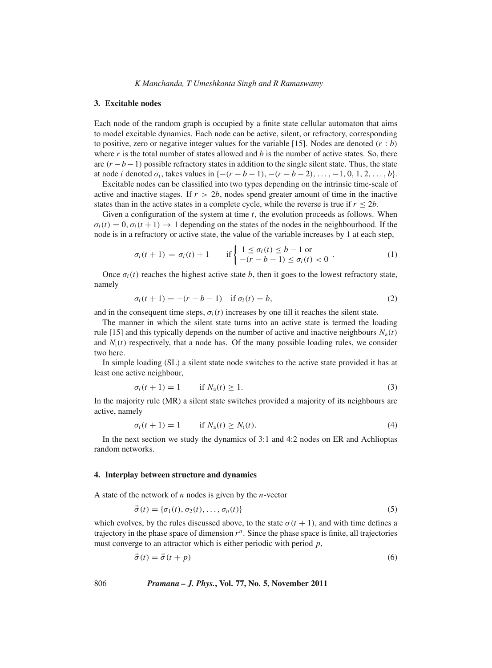#### **3. Excitable nodes**

Each node of the random graph is occupied by a finite state cellular automaton that aims to model excitable dynamics. Each node can be active, silent, or refractory, corresponding to positive, zero or negative integer values for the variable [15]. Nodes are denoted (*r* : *b*) where  $r$  is the total number of states allowed and  $b$  is the number of active states. So, there are  $(r - b - 1)$  possible refractory states in addition to the single silent state. Thus, the state at node *i* denoted  $\sigma_i$ , takes values in  $\{-(r - b - 1), -(r - b - 2), \ldots, -1, 0, 1, 2, \ldots, b\}.$ 

Excitable nodes can be classified into two types depending on the intrinsic time-scale of active and inactive stages. If  $r > 2b$ , nodes spend greater amount of time in the inactive states than in the active states in a complete cycle, while the reverse is true if  $r \leq 2b$ .

Given a configuration of the system at time *t*, the evolution proceeds as follows. When  $\sigma_i(t) = 0$ ,  $\sigma_i(t+1) \rightarrow 1$  depending on the states of the nodes in the neighbourhood. If the node is in a refractory or active state, the value of the variable increases by 1 at each step,

$$
\sigma_i(t+1) = \sigma_i(t) + 1 \quad \text{if } \begin{cases} 1 \le \sigma_i(t) \le b - 1 \text{ or} \\ -(r - b - 1) \le \sigma_i(t) < 0 \end{cases} \tag{1}
$$

Once  $\sigma_i(t)$  reaches the highest active state *b*, then it goes to the lowest refractory state, namely

$$
\sigma_i(t+1) = -(r-b-1) \quad \text{if } \sigma_i(t) = b,
$$
\n<sup>(2)</sup>

and in the consequent time steps,  $\sigma_i(t)$  increases by one till it reaches the silent state.

The manner in which the silent state turns into an active state is termed the loading rule [15] and this typically depends on the number of active and inactive neighbours  $N_a(t)$ and  $N_i(t)$  respectively, that a node has. Of the many possible loading rules, we consider two here.

In simple loading (SL) a silent state node switches to the active state provided it has at least one active neighbour,

$$
\sigma_i(t+1) = 1 \qquad \text{if } N_a(t) \ge 1. \tag{3}
$$

In the majority rule (MR) a silent state switches provided a majority of its neighbours are active, namely

$$
\sigma_i(t+1) = 1 \qquad \text{if } N_a(t) \ge N_i(t). \tag{4}
$$

In the next section we study the dynamics of 3:1 and 4:2 nodes on ER and Achlioptas random networks.

## **4. Interplay between structure and dynamics**

A state of the network of *n* nodes is given by the *n*-vector

$$
\vec{\sigma}(t) = {\sigma_1(t), \sigma_2(t), \dots, \sigma_n(t)}
$$
\n(5)

which evolves, by the rules discussed above, to the state  $\sigma(t + 1)$ , and with time defines a trajectory in the phase space of dimension  $r<sup>n</sup>$ . Since the phase space is finite, all trajectories must converge to an attractor which is either periodic with period *p*,

$$
\vec{\sigma}(t) = \vec{\sigma}(t+p) \tag{6}
$$

806 *Pramana – J. Phys.***, Vol. 77, No. 5, November 2011**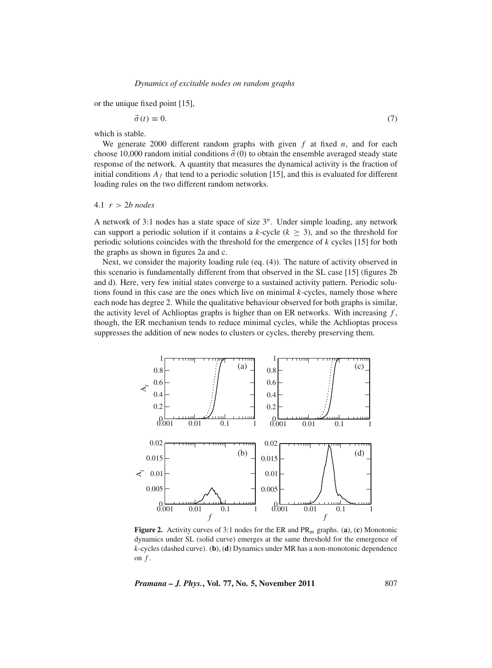or the unique fixed point [15],

$$
\vec{\sigma}(t) \equiv 0. \tag{7}
$$

which is stable.

We generate 2000 different random graphs with given *f* at fixed *n*, and for each choose 10,000 random initial conditions  $\vec{\sigma}$  (0) to obtain the ensemble averaged steady state response of the network. A quantity that measures the dynamical activity is the fraction of initial conditions  $A_f$  that tend to a periodic solution [15], and this is evaluated for different loading rules on the two different random networks.

## 4.1 *r* > 2*b nodes*

A network of 3:1 nodes has a state space of size 3*<sup>n</sup>*. Under simple loading, any network can support a periodic solution if it contains a  $k$ -cycle ( $k \geq 3$ ), and so the threshold for periodic solutions coincides with the threshold for the emergence of *k* cycles [15] for both the graphs as shown in figures 2a and c.

Next, we consider the majority loading rule (eq. (4)). The nature of activity observed in this scenario is fundamentally different from that observed in the SL case [15] (figures 2b and d). Here, very few initial states converge to a sustained activity pattern. Periodic solutions found in this case are the ones which live on minimal *k*-cycles, namely those where each node has degree 2. While the qualitative behaviour observed for both graphs is similar, the activity level of Achlioptas graphs is higher than on ER networks. With increasing *f* , though, the ER mechanism tends to reduce minimal cycles, while the Achlioptas process suppresses the addition of new nodes to clusters or cycles, thereby preserving them.



**Figure 2.** Activity curves of 3:1 nodes for the ER and PR*m* graphs. (**a**), (**c**) Monotonic dynamics under SL (solid curve) emerges at the same threshold for the emergence of *k*-cycles (dashed curve). (**b**), (**d**) Dynamics under MR has a non-monotonic dependence on  $f$ .

*Pramana – J. Phys.***, Vol. 77, No. 5, November 2011** 807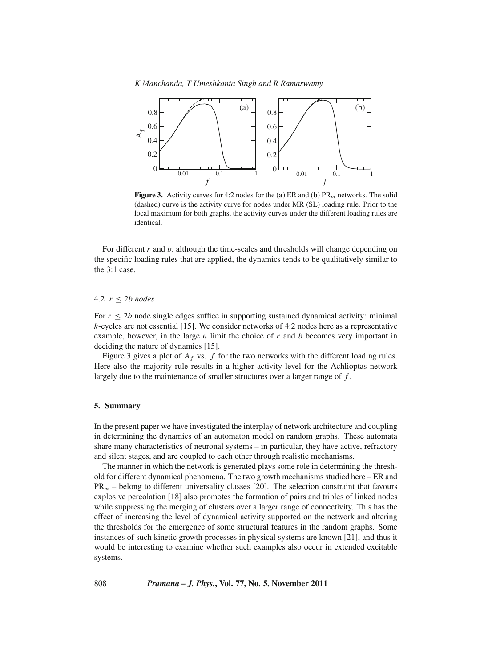*K Manchanda, T Umeshkanta Singh and R Ramaswamy*



**Figure 3.** Activity curves for 4:2 nodes for the (**a**) ER and (**b**)  $PR_m$  networks. The solid (dashed) curve is the activity curve for nodes under MR (SL) loading rule. Prior to the local maximum for both graphs, the activity curves under the different loading rules are identical.

For different *r* and *b*, although the time-scales and thresholds will change depending on the specific loading rules that are applied, the dynamics tends to be qualitatively similar to the 3:1 case.

## 4.2 *r* ≤ 2*b nodes*

For  $r \le 2b$  node single edges suffice in supporting sustained dynamical activity: minimal *k*-cycles are not essential [15]. We consider networks of 4:2 nodes here as a representative example, however, in the large *n* limit the choice of *r* and *b* becomes very important in deciding the nature of dynamics [15].

Figure 3 gives a plot of  $A_f$  vs.  $f$  for the two networks with the different loading rules. Here also the majority rule results in a higher activity level for the Achlioptas network largely due to the maintenance of smaller structures over a larger range of *f* .

## **5. Summary**

In the present paper we have investigated the interplay of network architecture and coupling in determining the dynamics of an automaton model on random graphs. These automata share many characteristics of neuronal systems – in particular, they have active, refractory and silent stages, and are coupled to each other through realistic mechanisms.

The manner in which the network is generated plays some role in determining the threshold for different dynamical phenomena. The two growth mechanisms studied here – ER and PR*<sup>m</sup>* – belong to different universality classes [20]. The selection constraint that favours explosive percolation [18] also promotes the formation of pairs and triples of linked nodes while suppressing the merging of clusters over a larger range of connectivity. This has the effect of increasing the level of dynamical activity supported on the network and altering the thresholds for the emergence of some structural features in the random graphs. Some instances of such kinetic growth processes in physical systems are known [21], and thus it would be interesting to examine whether such examples also occur in extended excitable systems.